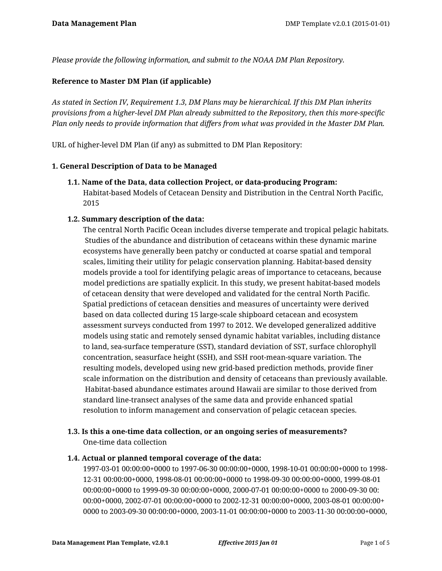*Please provide the following information, and submit to the NOAA DM Plan Repository.*

### **Reference to Master DM Plan (if applicable)**

*As stated in Section IV, Requirement 1.3, DM Plans may be hierarchical. If this DM Plan inherits provisions from a higher-level DM Plan already submitted to the Repository, then this more-specific Plan only needs to provide information that differs from what was provided in the Master DM Plan.*

URL of higher-level DM Plan (if any) as submitted to DM Plan Repository:

#### **1. General Description of Data to be Managed**

**1.1. Name of the Data, data collection Project, or data-producing Program:** Habitat-based Models of Cetacean Density and Distribution in the Central North Pacific, 2015

#### **1.2. Summary description of the data:**

The central North Pacific Ocean includes diverse temperate and tropical pelagic habitats. Studies of the abundance and distribution of cetaceans within these dynamic marine ecosystems have generally been patchy or conducted at coarse spatial and temporal scales, limiting their utility for pelagic conservation planning. Habitat-based density models provide a tool for identifying pelagic areas of importance to cetaceans, because model predictions are spatially explicit. In this study, we present habitat-based models of cetacean density that were developed and validated for the central North Pacific. Spatial predictions of cetacean densities and measures of uncertainty were derived based on data collected during 15 large-scale shipboard cetacean and ecosystem assessment surveys conducted from 1997 to 2012. We developed generalized additive models using static and remotely sensed dynamic habitat variables, including distance to land, sea-surface temperature (SST), standard deviation of SST, surface chlorophyll concentration, seasurface height (SSH), and SSH root-mean-square variation. The resulting models, developed using new grid-based prediction methods, provide finer scale information on the distribution and density of cetaceans than previously available. Habitat-based abundance estimates around Hawaii are similar to those derived from standard line-transect analyses of the same data and provide enhanced spatial resolution to inform management and conservation of pelagic cetacean species.

# **1.3. Is this a one-time data collection, or an ongoing series of measurements?** One-time data collection

# **1.4. Actual or planned temporal coverage of the data:**

1997-03-01 00:00:00+0000 to 1997-06-30 00:00:00+0000, 1998-10-01 00:00:00+0000 to 1998- 12-31 00:00:00+0000, 1998-08-01 00:00:00+0000 to 1998-09-30 00:00:00+0000, 1999-08-01 00:00:00+0000 to 1999-09-30 00:00:00+0000, 2000-07-01 00:00:00+0000 to 2000-09-30 00: 00:00+0000, 2002-07-01 00:00:00+0000 to 2002-12-31 00:00:00+0000, 2003-08-01 00:00:00+ 0000 to 2003-09-30 00:00:00+0000, 2003-11-01 00:00:00+0000 to 2003-11-30 00:00:00+0000,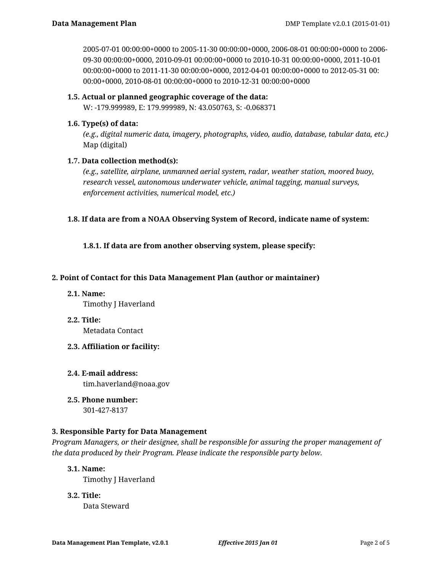2005-07-01 00:00:00+0000 to 2005-11-30 00:00:00+0000, 2006-08-01 00:00:00+0000 to 2006- 09-30 00:00:00+0000, 2010-09-01 00:00:00+0000 to 2010-10-31 00:00:00+0000, 2011-10-01 00:00:00+0000 to 2011-11-30 00:00:00+0000, 2012-04-01 00:00:00+0000 to 2012-05-31 00: 00:00+0000, 2010-08-01 00:00:00+0000 to 2010-12-31 00:00:00+0000

# **1.5. Actual or planned geographic coverage of the data:**

W: -179.999989, E: 179.999989, N: 43.050763, S: -0.068371

# **1.6. Type(s) of data:**

*(e.g., digital numeric data, imagery, photographs, video, audio, database, tabular data, etc.)* Map (digital)

# **1.7. Data collection method(s):**

*(e.g., satellite, airplane, unmanned aerial system, radar, weather station, moored buoy, research vessel, autonomous underwater vehicle, animal tagging, manual surveys, enforcement activities, numerical model, etc.)*

# **1.8. If data are from a NOAA Observing System of Record, indicate name of system:**

**1.8.1. If data are from another observing system, please specify:**

# **2. Point of Contact for this Data Management Plan (author or maintainer)**

- **2.1. Name:** Timothy J Haverland
- **2.2. Title:**

Metadata Contact

- **2.3. Affiliation or facility:**
- **2.4. E-mail address:** tim.haverland@noaa.gov
- **2.5. Phone number:**

301-427-8137

# **3. Responsible Party for Data Management**

*Program Managers, or their designee, shall be responsible for assuring the proper management of the data produced by their Program. Please indicate the responsible party below.*

# **3.1. Name:**

Timothy J Haverland

**3.2. Title:**

Data Steward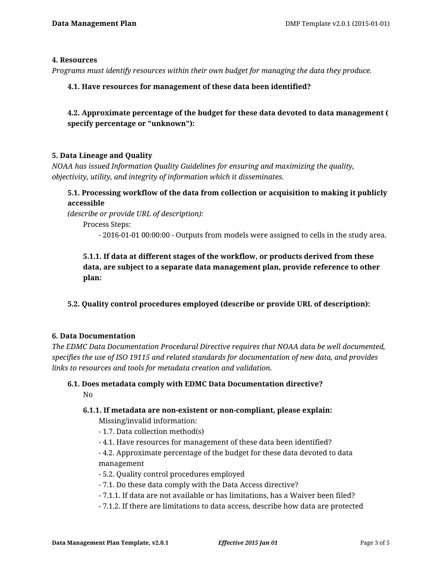#### **4. Resources**

*Programs must identify resources within their own budget for managing the data they produce.*

#### **4.1. Have resources for management of these data been identified?**

**4.2. Approximate percentage of the budget for these data devoted to data management ( specify percentage or "unknown"):**

#### **5. Data Lineage and Quality**

*NOAA has issued Information Quality Guidelines for ensuring and maximizing the quality, objectivity, utility, and integrity of information which it disseminates.*

# **5.1. Processing workflow of the data from collection or acquisition to making it publicly accessible**

*(describe or provide URL of description):*

Process Steps:

- 2016-01-01 00:00:00 - Outputs from models were assigned to cells in the study area.

# **5.1.1. If data at different stages of the workflow, or products derived from these data, are subject to a separate data management plan, provide reference to other plan:**

# **5.2. Quality control procedures employed (describe or provide URL of description):**

#### **6. Data Documentation**

*The EDMC Data Documentation Procedural Directive requires that NOAA data be well documented, specifies the use of ISO 19115 and related standards for documentation of new data, and provides links to resources and tools for metadata creation and validation.*

#### **6.1. Does metadata comply with EDMC Data Documentation directive?** No

#### **6.1.1. If metadata are non-existent or non-compliant, please explain:**

Missing/invalid information:

- 1.7. Data collection method(s)
- 4.1. Have resources for management of these data been identified?
- 4.2. Approximate percentage of the budget for these data devoted to data management
- 5.2. Quality control procedures employed
- 7.1. Do these data comply with the Data Access directive?
- 7.1.1. If data are not available or has limitations, has a Waiver been filed?
- 7.1.2. If there are limitations to data access, describe how data are protected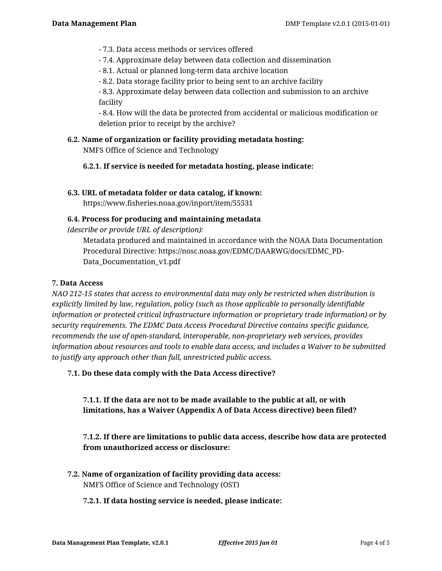- 7.3. Data access methods or services offered
- 7.4. Approximate delay between data collection and dissemination
- 8.1. Actual or planned long-term data archive location
- 8.2. Data storage facility prior to being sent to an archive facility

- 8.3. Approximate delay between data collection and submission to an archive facility

- 8.4. How will the data be protected from accidental or malicious modification or deletion prior to receipt by the archive?

# **6.2. Name of organization or facility providing metadata hosting:**

NMFS Office of Science and Technology

**6.2.1. If service is needed for metadata hosting, please indicate:**

#### **6.3. URL of metadata folder or data catalog, if known:**

https://www.fisheries.noaa.gov/inport/item/55531

#### **6.4. Process for producing and maintaining metadata**

*(describe or provide URL of description):*

Metadata produced and maintained in accordance with the NOAA Data Documentation Procedural Directive: https://nosc.noaa.gov/EDMC/DAARWG/docs/EDMC\_PD-Data\_Documentation\_v1.pdf

### **7. Data Access**

*NAO 212-15 states that access to environmental data may only be restricted when distribution is explicitly limited by law, regulation, policy (such as those applicable to personally identifiable information or protected critical infrastructure information or proprietary trade information) or by security requirements. The EDMC Data Access Procedural Directive contains specific guidance, recommends the use of open-standard, interoperable, non-proprietary web services, provides information about resources and tools to enable data access, and includes a Waiver to be submitted to justify any approach other than full, unrestricted public access.*

**7.1. Do these data comply with the Data Access directive?**

**7.1.1. If the data are not to be made available to the public at all, or with limitations, has a Waiver (Appendix A of Data Access directive) been filed?**

# **7.1.2. If there are limitations to public data access, describe how data are protected from unauthorized access or disclosure:**

**7.2. Name of organization of facility providing data access:** NMFS Office of Science and Technology (OST)

#### **7.2.1. If data hosting service is needed, please indicate:**